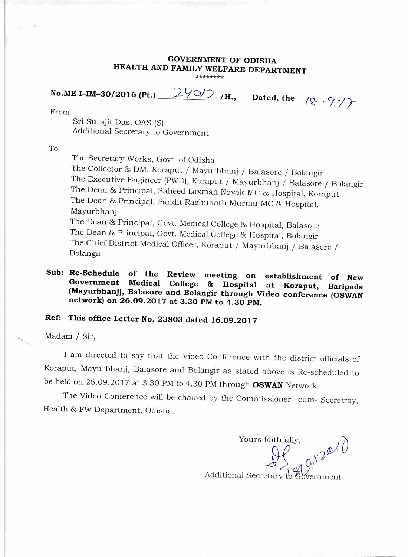#### **GOVERNMENT OF ODISHA HEALTH AND FAMILY WELFARE DEPARTMENT \*\*\*\*\*\*\*\***

**No.ME I-IM-30/2016 (Pt.)**  $2\frac{1}{\sqrt{2}}$  /H., Dated, the  $\sqrt{2}$   $\sqrt{7}$ 

From

Sri Surajit Das, OAS (S) Additional Secretary to Government

To

The Secretary Works, Govt. of Odisha

The Collector 8s DM, Koraput / Mayurbhanj / Balasore / Bolangir The Executive Engineer (PWD), Koraput / Mayurbhanj / Balasore / Bolangir The Dean 86 Principal, Saheed Laxman Nayak MC 86 Hospital, Koraput The Dean & Principal, Pandit Raghunath Murmu MC & Hospital, Mayurbhanj The Dean & Principal, Govt. Medical College & Hospital, Balasore The Dean & Principal, Govt. Medical College & Hospital, Bolangir The Chief District Medical Officer, Koraput / Mayurbhanj / Balasore / Bolangir

### **Sub: Re-Schedule of the Review meeting on establishment of New Government Medical College & Hospital at Koraput, Baripada (Mayurbhanj), Balasore and Bolangir through Video conference (OSWAN network) on 26.09.2017 at 3.30 PM to 4.30 PM.**

# **Ref: This office Letter No. 23803 dated 16.09.2017**

Madam / Sir,

I am directed to say that the Video Conference with the district officials of Koraput, Mayurbhanj, Balasore and Bolangir as stated above is Re-scheduled to be held on 26.09.2017 at 3.30 PM to 4.30 PM through **OSWAN** Network.

The Video Conference will be chaired by the Commissioner -cum- Secretray, Health 86 FW Department, Odisha.

Yours faithfully, Additional Secretary to Government